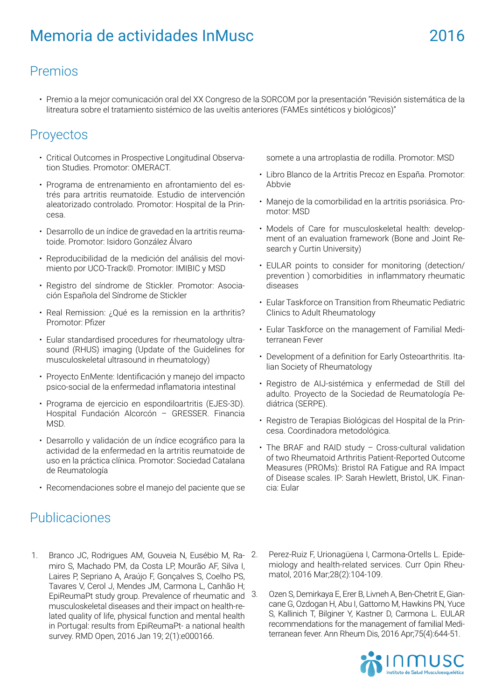## Premios

• Premio a la mejor comunicación oral del XX Congreso de la SORCOM por la presentación "Revisión sistemática de la litreatura sobre el tratamiento sistémico de las uveítis anteriores (FAMEs sintéticos y biológicos)"

## Proyectos

- Critical Outcomes in Prospective Longitudinal Observation Studies. Promotor: OMERACT.
- Programa de entrenamiento en afrontamiento del estrés para artritis reumatoide. Estudio de intervención aleatorizado controlado. Promotor: Hospital de la Princesa.
- Desarrollo de un índice de gravedad en la artritis reumatoide. Promotor: Isidoro González Álvaro
- Reproducibilidad de la medición del análisis del movimiento por UCO-Track©. Promotor: IMIBIC y MSD
- Registro del síndrome de Stickler. Promotor: Asociación Española del Síndrome de Stickler
- Real Remission: ¿Qué es la remission en la arthritis? Promotor: Pfizer
- Eular standardised procedures for rheumatology ultrasound (RHUS) imaging (Update of the Guidelines for musculoskeletal ultrasound in rheumatology)
- Proyecto EnMente: Identificación y manejo del impacto psico-social de la enfermedad inflamatoria intestinal
- Programa de ejercicio en espondiloartritis (EJES-3D). Hospital Fundación Alcorcón – GRESSER. Financia MSD.
- Desarrollo y validación de un índice ecográfico para la actividad de la enfermedad en la artritis reumatoide de uso en la práctica clínica. Promotor: Sociedad Catalana de Reumatología
- Recomendaciones sobre el manejo del paciente que se

## Publicaciones

- somete a una artroplastia de rodilla. Promotor: MSD
- Libro Blanco de la Artritis Precoz en España. Promotor: Abbvie
- Manejo de la comorbilidad en la artritis psoriásica. Promotor: MSD
- Models of Care for musculoskeletal health: development of an evaluation framework (Bone and Joint Research y Curtin University)
- EULAR points to consider for monitoring (detection/ prevention ) comorbidities in inflammatory rheumatic diseases
- Eular Taskforce on Transition from Rheumatic Pediatric Clinics to Adult Rheumatology
- Eular Taskforce on the management of Familial Mediterranean Fever
- Development of a definition for Early Osteoarthritis. Italian Society of Rheumatology
- Registro de AIJ-sistémica y enfermedad de Still del adulto. Proyecto de la Sociedad de Reumatología Pediátrica (SERPE).
- Registro de Terapias Biológicas del Hospital de la Princesa. Coordinadora metodológica.
- The BRAF and RAID study Cross-cultural validation of two Rheumatoid Arthritis Patient-Reported Outcome Measures (PROMs): Bristol RA Fatigue and RA Impact of Disease scales. IP: Sarah Hewlett, Bristol, UK. Financia: Eular
- 1. Branco JC, Rodrigues AM, Gouveia N, Eusébio M, Ramiro S, Machado PM, da Costa LP, Mourão AF, Silva I, Laires P, Sepriano A, Araújo F, Gonçalves S, Coelho PS, Tavares V, Cerol J, Mendes JM, Carmona L, Canhão H; EpiReumaPt study group. Prevalence of rheumatic and musculoskeletal diseases and their impact on health-related quality of life, physical function and mental health in Portugal: results from EpiReumaPt- a national health survey. RMD Open, 2016 Jan 19; 2(1):e000166.
- 2. Perez-Ruiz F, Urionagüena I, Carmona-Ortells L. Epidemiology and health-related services. Curr Opin Rheumatol, 2016 Mar;28(2):104-109.
	- 3. Ozen S, Demirkaya E, Erer B, Livneh A, Ben-Chetrit E, Giancane G, Ozdogan H, Abu I, Gattorno M, Hawkins PN, Yuce S, Kallinich T, Bilginer Y, Kastner D, Carmona L. EULAR recommendations for the management of familial Mediterranean fever. Ann Rheum Dis, 2016 Apr;75(4):644-51.